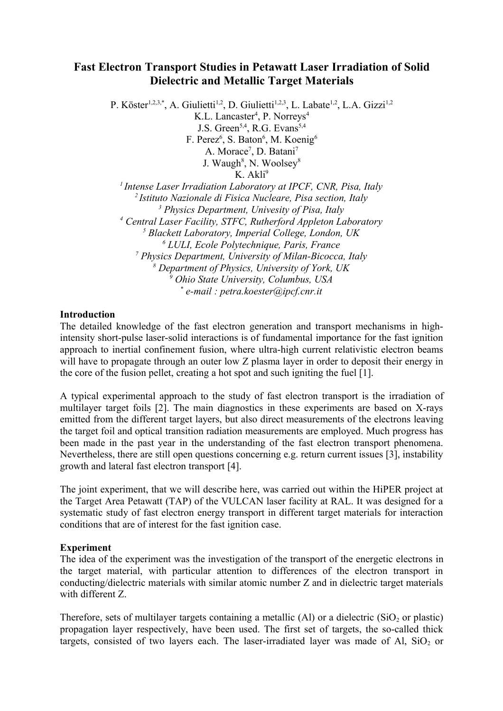## **Fast Electron Transport Studies in Petawatt Laser Irradiation of Solid Dielectric and Metallic Target Materials**

P. Köster<sup>1,2,3,\*</sup>, A. Giulietti<sup>1,2</sup>, D. Giulietti<sup>1,2,3</sup>, L. Labate<sup>1,2</sup>, L.A. Gizzi<sup>1,2</sup> K.L. Lancaster<sup>4</sup>, P. Norreys<sup>4</sup> J.S. Green<sup>5,4</sup>, R.G. Evans<sup>5,4</sup> F. Perez<sup>6</sup>, S. Baton<sup>6</sup>, M. Koenig<sup>6</sup> A. Morace<sup>7</sup>, D. Batani<sup>7</sup> J. Waugh<sup>8</sup>, N. Woolsey<sup>8</sup>  $K$  Akli<sup>9</sup> *<sup>1</sup>Intense Laser Irradiation Laboratory at IPCF, CNR, Pisa, Italy <sup>2</sup>Istituto Nazionale di Fisica Nucleare, Pisa section, Italy 3 Physics Department, Univesity of Pisa, Italy 4 Central Laser Facility, STFC, Rutherford Appleton Laboratory 5 Blackett Laboratory, Imperial College, London, UK 6 LULI, Ecole Polytechnique, Paris, France 7 Physics Department, University of Milan-Bicocca, Italy 8 Department of Physics, University of York, UK 9 Ohio State University, Columbus, USA \* e-mail : petra.koester@ipcf.cnr.it*

## **Introduction**

The detailed knowledge of the fast electron generation and transport mechanisms in highintensity short-pulse laser-solid interactions is of fundamental importance for the fast ignition approach to inertial confinement fusion, where ultra-high current relativistic electron beams will have to propagate through an outer low Z plasma layer in order to deposit their energy in the core of the fusion pellet, creating a hot spot and such igniting the fuel [1].

A typical experimental approach to the study of fast electron transport is the irradiation of multilayer target foils [2]. The main diagnostics in these experiments are based on X-rays emitted from the different target layers, but also direct measurements of the electrons leaving the target foil and optical transition radiation measurements are employed. Much progress has been made in the past year in the understanding of the fast electron transport phenomena. Nevertheless, there are still open questions concerning e.g. return current issues [3], instability growth and lateral fast electron transport [4].

The joint experiment, that we will describe here, was carried out within the HiPER project at the Target Area Petawatt (TAP) of the VULCAN laser facility at RAL. It was designed for a systematic study of fast electron energy transport in different target materials for interaction conditions that are of interest for the fast ignition case.

## **Experiment**

The idea of the experiment was the investigation of the transport of the energetic electrons in the target material, with particular attention to differences of the electron transport in conducting/dielectric materials with similar atomic number Z and in dielectric target materials with different Z.

Therefore, sets of multilayer targets containing a metallic  $(A)$  or a dielectric  $(SiO<sub>2</sub>$  or plastic) propagation layer respectively, have been used. The first set of targets, the so-called thick targets, consisted of two layers each. The laser-irradiated layer was made of Al,  $SiO<sub>2</sub>$  or